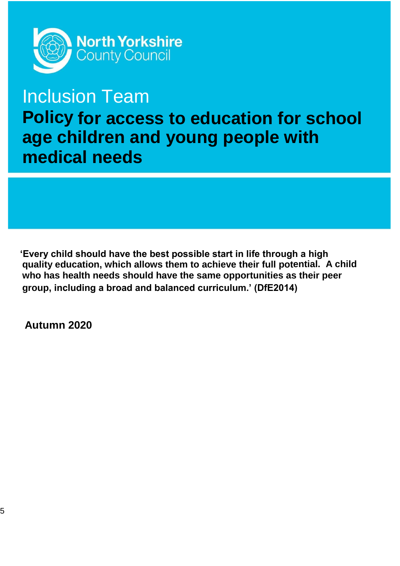

# Inclusion Team

**Policy for access to education for school age children and young people with medical needs**

**'Every child should have the best possible start in life through a high quality education, which allows them to achieve their full potential. A child who has health needs should have the same opportunities as their peer group, including a broad and balanced curriculum.' (DfE2014)**

**Autumn 2020**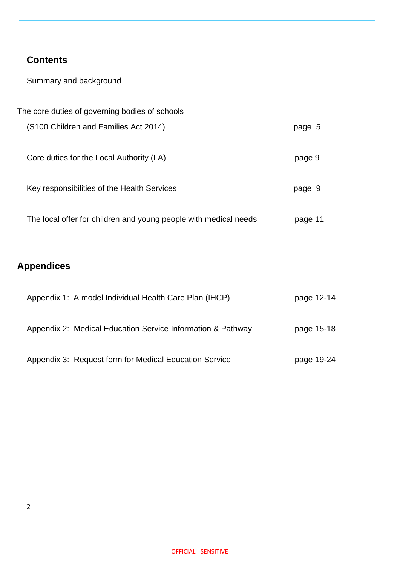### **Contents**

Summary and background

| The core duties of governing bodies of schools                   |         |
|------------------------------------------------------------------|---------|
| (S100 Children and Families Act 2014)                            | page 5  |
| Core duties for the Local Authority (LA)                         | page 9  |
| Key responsibilities of the Health Services                      | page 9  |
| The local offer for children and young people with medical needs | page 11 |
|                                                                  |         |

## **Appendices**

| Appendix 1: A model Individual Health Care Plan (IHCP)      | page 12-14 |
|-------------------------------------------------------------|------------|
| Appendix 2: Medical Education Service Information & Pathway | page 15-18 |
| Appendix 3: Request form for Medical Education Service      | page 19-24 |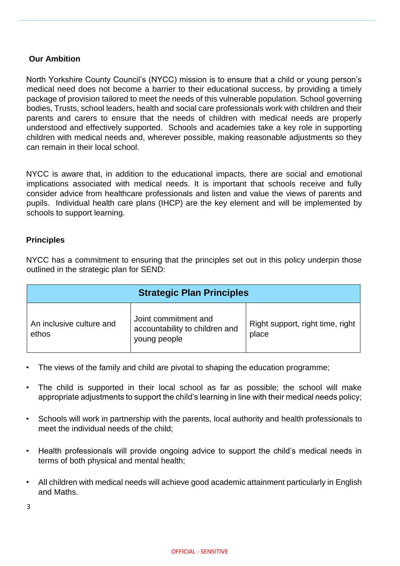#### **Our Ambition**

North Yorkshire County Council's (NYCC) mission is to ensure that a child or young person's medical need does not become a barrier to their educational success, by providing a timely package of provision tailored to meet the needs of this vulnerable population. School governing bodies, Trusts, school leaders, health and social care professionals work with children and their parents and carers to ensure that the needs of children with medical needs are properly understood and effectively supported. Schools and academies take a key role in supporting children with medical needs and, wherever possible, making reasonable adjustments so they can remain in their local school.

NYCC is aware that, in addition to the educational impacts, there are social and emotional implications associated with medical needs. It is important that schools receive and fully consider advice from healthcare professionals and listen and value the views of parents and pupils. Individual health care plans (IHCP) are the key element and will be implemented by schools to support learning.

#### **Principles**

NYCC has a commitment to ensuring that the principles set out in this policy underpin those outlined in the strategic plan for SEND:

| <b>Strategic Plan Principles</b>  |                                                                        |                                           |  |  |
|-----------------------------------|------------------------------------------------------------------------|-------------------------------------------|--|--|
| An inclusive culture and<br>ethos | Joint commitment and<br>accountability to children and<br>young people | Right support, right time, right<br>place |  |  |

- The views of the family and child are pivotal to shaping the education programme;
- The child is supported in their local school as far as possible; the school will make appropriate adjustments to support the child's learning in line with their medical needs policy;
- Schools will work in partnership with the parents, local authority and health professionals to meet the individual needs of the child;
- Health professionals will provide ongoing advice to support the child's medical needs in terms of both physical and mental health;
- All children with medical needs will achieve good academic attainment particularly in English and Maths.

3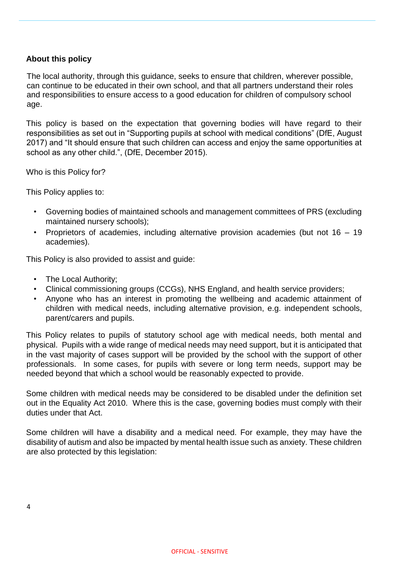#### **About this policy**

The local authority, through this guidance, seeks to ensure that children, wherever possible, can continue to be educated in their own school, and that all partners understand their roles and responsibilities to ensure access to a good education for children of compulsory school age.

This policy is based on the expectation that governing bodies will have regard to their responsibilities as set out in "Supporting pupils at school with medical conditions" (DfE, August 2017) and "It should ensure that such children can access and enjoy the same opportunities at school as any other child.", (DfE, December 2015).

Who is this Policy for?

This Policy applies to:

- Governing bodies of maintained schools and management committees of PRS (excluding maintained nursery schools);
- Proprietors of academies, including alternative provision academies (but not 16 19 academies).

This Policy is also provided to assist and guide:

- The Local Authority:
- Clinical commissioning groups (CCGs), NHS England, and health service providers;
- Anyone who has an interest in promoting the wellbeing and academic attainment of children with medical needs, including alternative provision, e.g. independent schools, parent/carers and pupils.

This Policy relates to pupils of statutory school age with medical needs, both mental and physical. Pupils with a wide range of medical needs may need support, but it is anticipated that in the vast majority of cases support will be provided by the school with the support of other professionals. In some cases, for pupils with severe or long term needs, support may be needed beyond that which a school would be reasonably expected to provide.

Some children with medical needs may be considered to be disabled under the definition set out in the Equality Act 2010. Where this is the case, governing bodies must comply with their duties under that Act.

Some children will have a disability and a medical need. For example, they may have the disability of autism and also be impacted by mental health issue such as anxiety. These children are also protected by this legislation: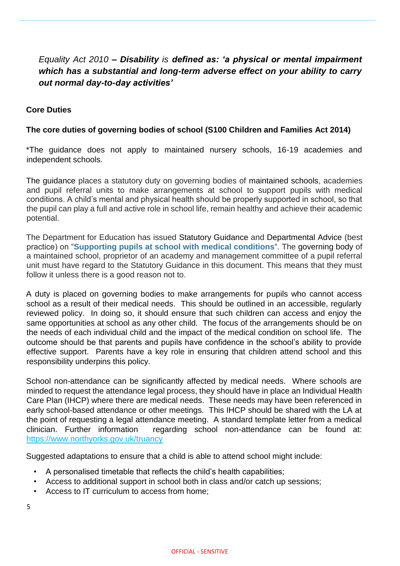### *Equality Act 2010 – Disability is defined as: 'a physical or mental impairment which has a substantial and long-term adverse effect on your ability to carry out normal day-to-day activities'*

#### **Core Duties**

#### **The core duties of governing bodies of school (S100 Children and Families Act 2014)**

\*The guidance does not apply to maintained nursery schools, 16-19 academies and independent schools.

The guidance places a statutory duty on governing bodies of maintained schools, academies and pupil referral units to make arrangements at school to support pupils with medical conditions. A child's mental and physical health should be properly supported in school, so that the pupil can play a full and active role in school life, remain healthy and achieve their academic potential.

The Department for Education has issued Statutory Guidance and Departmental Advice (best practice) on "**Supporting pupils [at school with medical conditions](https://www.gov.uk/government/uploads/system/uploads/attachment_data/file/638267/supporting-pupils-at-school-with-medical-conditions.pdf)**[".](https://www.gov.uk/government/uploads/system/uploads/attachment_data/file/638267/supporting-pupils-at-school-with-medical-conditions.pdf) The governing body of a maintained school, proprietor of an academy and management committee of a pupil referral unit must have regard to the Statutory Guidance in this document. This means that they must follow it unless there is a good reason not to.

A duty is placed on governing bodies to make arrangements for pupils who cannot access school as a result of their medical needs. This should be outlined in an accessible, regularly reviewed policy. In doing so, it should ensure that such children can access and enjoy the same opportunities at school as any other child. The focus of the arrangements should be on the needs of each individual child and the impact of the medical condition on school life. The outcome should be that parents and pupils have confidence in the school's ability to provide effective support. Parents have a key role in ensuring that children attend school and this responsibility underpins this policy.

School non-attendance can be significantly affected by medical needs. Where schools are minded to request the attendance legal process, they should have in place an Individual Health Care Plan (IHCP) where there are medical needs. These needs may have been referenced in early school-based attendance or other meetings. This IHCP should be shared with the LA at the point of requesting a legal attendance meeting. A standard template letter from a medical clinician. Further information regarding school non-attendance can be found at: <https://www.northyorks.gov.uk/truancy>

Suggested adaptations to ensure that a child is able to attend school might include:

- A personalised timetable that reflects the child's health capabilities;
- Access to additional support in school both in class and/or catch up sessions;
- Access to IT curriculum to access from home;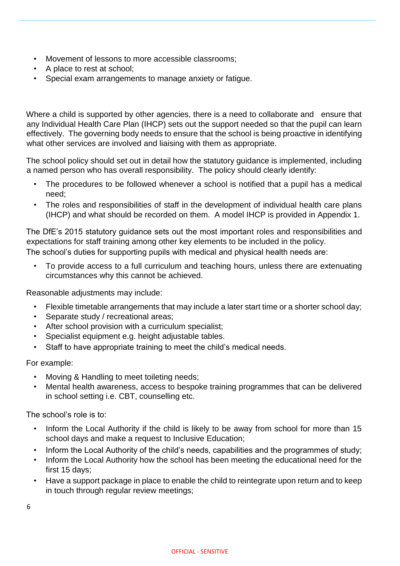- Movement of lessons to more accessible classrooms;
- A place to rest at school;
- Special exam arrangements to manage anxiety or fatigue.

Where a child is supported by other agencies, there is a need to collaborate and ensure that any Individual Health Care Plan (IHCP) sets out the support needed so that the pupil can learn effectively. The governing body needs to ensure that the school is being proactive in identifying what other services are involved and liaising with them as appropriate.

The school policy should set out in detail how the statutory guidance is implemented, including a named person who has overall responsibility. The policy should clearly identify:

- The procedures to be followed whenever a school is notified that a pupil has a medical need;
- The roles and responsibilities of staff in the development of individual health care plans (IHCP) and what should be recorded on them. A model IHCP is provided in Appendix 1.

The DfE's 2015 statutory guidance sets out the most important roles and responsibilities and expectations for staff training among other key elements to be included in the policy. The school's duties for supporting pupils with medical and physical health needs are:

• To provide access to a full curriculum and teaching hours, unless there are extenuating circumstances why this cannot be achieved.

Reasonable adjustments may include:

- Flexible timetable arrangements that may include a later start time or a shorter school day;
- Separate study / recreational areas;
- After school provision with a curriculum specialist;
- Specialist equipment e.g. height adjustable tables.
- Staff to have appropriate training to meet the child's medical needs.

For example:

- Moving & Handling to meet toileting needs;
- Mental health awareness, access to bespoke training programmes that can be delivered in school setting i.e. CBT, counselling etc.

The school's role is to:

- Inform the Local Authority if the child is likely to be away from school for more than 15 school days and make a request to Inclusive Education;
- Inform the Local Authority of the child's needs, capabilities and the programmes of study;
- Inform the Local Authority how the school has been meeting the educational need for the first 15 days;
- Have a support package in place to enable the child to reintegrate upon return and to keep in touch through regular review meetings;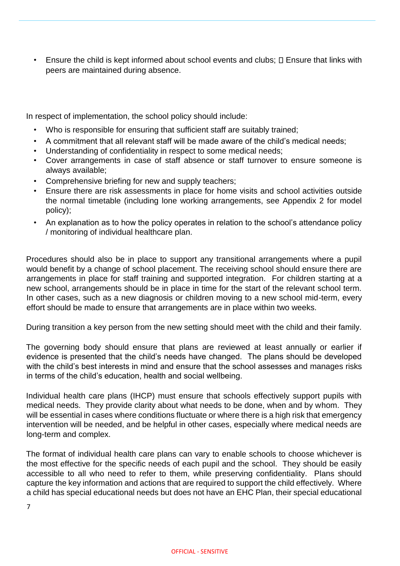Ensure the child is kept informed about school events and clubs;  $\square$  Ensure that links with peers are maintained during absence.

In respect of implementation, the school policy should include:

- Who is responsible for ensuring that sufficient staff are suitably trained;
- A commitment that all relevant staff will be made aware of the child's medical needs;
- Understanding of confidentiality in respect to some medical needs;
- Cover arrangements in case of staff absence or staff turnover to ensure someone is always available;
- Comprehensive briefing for new and supply teachers;
- Ensure there are risk assessments in place for home visits and school activities outside the normal timetable (including lone working arrangements, see Appendix 2 for model policy);
- An explanation as to how the policy operates in relation to the school's attendance policy / monitoring of individual healthcare plan.

Procedures should also be in place to support any transitional arrangements where a pupil would benefit by a change of school placement. The receiving school should ensure there are arrangements in place for staff training and supported integration. For children starting at a new school, arrangements should be in place in time for the start of the relevant school term. In other cases, such as a new diagnosis or children moving to a new school mid-term, every effort should be made to ensure that arrangements are in place within two weeks.

During transition a key person from the new setting should meet with the child and their family.

The governing body should ensure that plans are reviewed at least annually or earlier if evidence is presented that the child's needs have changed. The plans should be developed with the child's best interests in mind and ensure that the school assesses and manages risks in terms of the child's education, health and social wellbeing.

Individual health care plans (IHCP) must ensure that schools effectively support pupils with medical needs. They provide clarity about what needs to be done, when and by whom. They will be essential in cases where conditions fluctuate or where there is a high risk that emergency intervention will be needed, and be helpful in other cases, especially where medical needs are long-term and complex.

The format of individual health care plans can vary to enable schools to choose whichever is the most effective for the specific needs of each pupil and the school. They should be easily accessible to all who need to refer to them, while preserving confidentiality. Plans should capture the key information and actions that are required to support the child effectively. Where a child has special educational needs but does not have an EHC Plan, their special educational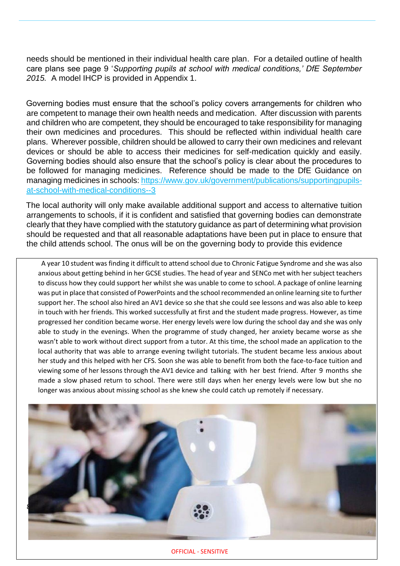needs should be mentioned in their individual health care plan. For a detailed outline of health care plans see page 9 '*Supporting pupils at school with medical conditions,' DfE September 2015.* A model IHCP is provided in Appendix 1.

Governing bodies must ensure that the school's policy covers arrangements for children who are competent to manage their own health needs and medication. After discussion with parents and children who are competent, they should be encouraged to take responsibility for managing their own medicines and procedures. This should be reflected within individual health care plans. Wherever possible, children should be allowed to carry their own medicines and relevant devices or should be able to access their medicines for self-medication quickly and easily. Governing bodies should also ensure that the school's policy is clear about the procedures to be followed for managing medicines. Reference should be made to the DfE Guidance on managing medicines in schools: [https://www.gov.uk/government/publications/supportingpupils](https://www.gov.uk/government/publications/supporting-pupils-at-school-with-medical-conditions--3)[at-school-with-medical-conditions--3](https://www.gov.uk/government/publications/supporting-pupils-at-school-with-medical-conditions--3)

The local authority will only make available additional support and access to alternative tuition arrangements to schools, if it is confident and satisfied that governing bodies can demonstrate clearly that they have complied with the statutory guidance as part of determining what provision should be requested and that all reasonable adaptations have been put in place to ensure that the child attends school. The onus will be on the governing body to provide this evidence

A year 10 student was finding it difficult to attend school due to Chronic Fatigue Syndrome and she was also anxious about getting behind in her GCSE studies. The head of year and SENCo met with her subject teachers to discuss how they could support her whilst she was unable to come to school. A package of online learning was put in place that consisted of PowerPoints and the school recommended an online learning site to further support her. The school also hired an AV1 device so she that she could see lessons and was also able to keep in touch with her friends. This worked successfully at first and the student made progress. However, as time progressed her condition became worse. Her energy levels were low during the school day and she was only able to study in the evenings. When the programme of study changed, her anxiety became worse as she wasn't able to work without direct support from a tutor. At this time, the school made an application to the local authority that was able to arrange evening twilight tutorials. The student became less anxious about her study and this helped with her CFS. Soon she was able to benefit from both the face-to-face tuition and viewing some of her lessons through the AV1 device and talking with her best friend. After 9 months she made a slow phased return to school. There were still days when her energy levels were low but she no longer was anxious about missing school as she knew she could catch up remotely if necessary.



OFFICIAL - SENSITIVE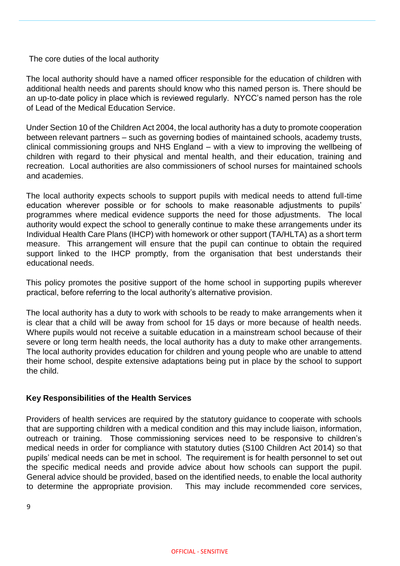The core duties of the local authority

The local authority should have a named officer responsible for the education of children with additional health needs and parents should know who this named person is. There should be an up-to-date policy in place which is reviewed regularly. NYCC's named person has the role of Lead of the Medical Education Service.

Under Section 10 of the Children Act 2004, the local authority has a duty to promote cooperation between relevant partners – such as governing bodies of maintained schools, academy trusts, clinical commissioning groups and NHS England – with a view to improving the wellbeing of children with regard to their physical and mental health, and their education, training and recreation. Local authorities are also commissioners of school nurses for maintained schools and academies.

The local authority expects schools to support pupils with medical needs to attend full-time education wherever possible or for schools to make reasonable adjustments to pupils' programmes where medical evidence supports the need for those adjustments. The local authority would expect the school to generally continue to make these arrangements under its Individual Health Care Plans (IHCP) with homework or other support (TA/HLTA) as a short term measure. This arrangement will ensure that the pupil can continue to obtain the required support linked to the IHCP promptly, from the organisation that best understands their educational needs.

This policy promotes the positive support of the home school in supporting pupils wherever practical, before referring to the local authority's alternative provision.

The local authority has a duty to work with schools to be ready to make arrangements when it is clear that a child will be away from school for 15 days or more because of health needs. Where pupils would not receive a suitable education in a mainstream school because of their severe or long term health needs, the local authority has a duty to make other arrangements. The local authority provides education for children and young people who are unable to attend their home school, despite extensive adaptations being put in place by the school to support the child.

#### **Key Responsibilities of the Health Services**

Providers of health services are required by the statutory guidance to cooperate with schools that are supporting children with a medical condition and this may include liaison, information, outreach or training. Those commissioning services need to be responsive to children's medical needs in order for compliance with statutory duties (S100 Children Act 2014) so that pupils' medical needs can be met in school. The requirement is for health personnel to set out the specific medical needs and provide advice about how schools can support the pupil. General advice should be provided, based on the identified needs, to enable the local authority to determine the appropriate provision. This may include recommended core services,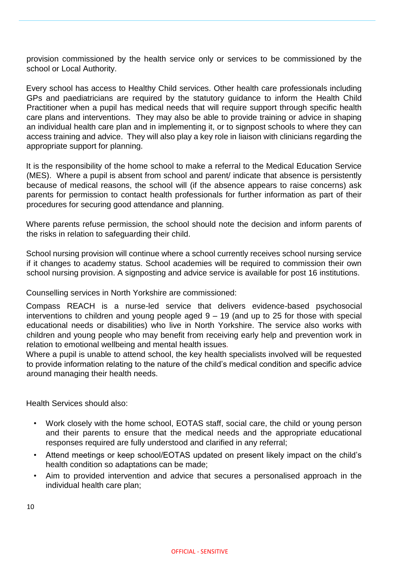provision commissioned by the health service only or services to be commissioned by the school or Local Authority.

Every school has access to Healthy Child services. Other health care professionals including GPs and paediatricians are required by the statutory guidance to inform the Health Child Practitioner when a pupil has medical needs that will require support through specific health care plans and interventions. They may also be able to provide training or advice in shaping an individual health care plan and in implementing it, or to signpost schools to where they can access training and advice. They will also play a key role in liaison with clinicians regarding the appropriate support for planning.

It is the responsibility of the home school to make a referral to the Medical Education Service (MES). Where a pupil is absent from school and parent/ indicate that absence is persistently because of medical reasons, the school will (if the absence appears to raise concerns) ask parents for permission to contact health professionals for further information as part of their procedures for securing good attendance and planning.

Where parents refuse permission, the school should note the decision and inform parents of the risks in relation to safeguarding their child.

School nursing provision will continue where a school currently receives school nursing service if it changes to academy status. School academies will be required to commission their own school nursing provision. A signposting and advice service is available for post 16 institutions.

Counselling services in North Yorkshire are commissioned:

Compass REACH is a nurse-led service that delivers evidence-based psychosocial interventions to children and young people aged  $9 - 19$  (and up to 25 for those with special educational needs or disabilities) who live in North Yorkshire. The service also works with children and young people who may benefit from receiving early help and prevention work in relation to emotional wellbeing and mental health issues*.*

Where a pupil is unable to attend school, the key health specialists involved will be requested to provide information relating to the nature of the child's medical condition and specific advice around managing their health needs.

Health Services should also:

- Work closely with the home school, EOTAS staff, social care, the child or young person and their parents to ensure that the medical needs and the appropriate educational responses required are fully understood and clarified in any referral;
- Attend meetings or keep school/EOTAS updated on present likely impact on the child's health condition so adaptations can be made;
- Aim to provided intervention and advice that secures a personalised approach in the individual health care plan;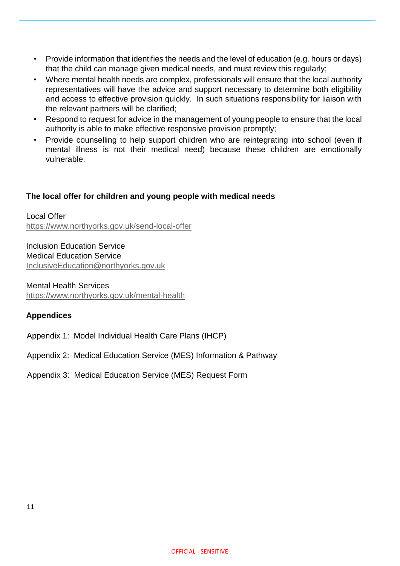- Provide information that identifies the needs and the level of education (e.g. hours or days) that the child can manage given medical needs, and must review this regularly;
- Where mental health needs are complex, professionals will ensure that the local authority representatives will have the advice and support necessary to determine both eligibility and access to effective provision quickly. In such situations responsibility for liaison with the relevant partners will be clarified;
- Respond to request for advice in the management of young people to ensure that the local authority is able to make effective responsive provision promptly;
- Provide counselling to help support children who are reintegrating into school (even if mental illness is not their medical need) because these children are emotionally vulnerable.

#### **The local offer for children and young people with medical needs**

Local Offer <https://www.northyorks.gov.uk/send-local-offer>

Inclusion Education Service Medical Education Service InclusiveEducation@northyorks.gov.uk

Mental Health Services <https://www.northyorks.gov.uk/mental-health>

#### **Appendices**

Appendix 1: Model Individual Health Care Plans (IHCP)

- Appendix 2: Medical Education Service (MES) Information & Pathway
- Appendix 3: Medical Education Service (MES) Request Form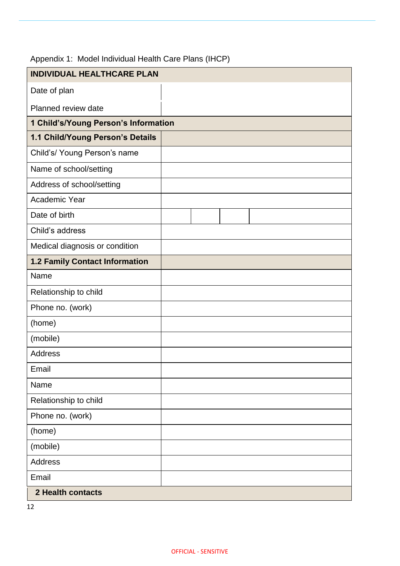| <b>INDIVIDUAL HEALTHCARE PLAN</b>     |  |  |
|---------------------------------------|--|--|
| Date of plan                          |  |  |
| Planned review date                   |  |  |
| 1 Child's/Young Person's Information  |  |  |
| 1.1 Child/Young Person's Details      |  |  |
| Child's/ Young Person's name          |  |  |
| Name of school/setting                |  |  |
| Address of school/setting             |  |  |
| Academic Year                         |  |  |
| Date of birth                         |  |  |
| Child's address                       |  |  |
| Medical diagnosis or condition        |  |  |
| <b>1.2 Family Contact Information</b> |  |  |
| Name                                  |  |  |
| Relationship to child                 |  |  |
| Phone no. (work)                      |  |  |
| (home)                                |  |  |
| (mobile)                              |  |  |
| <b>Address</b>                        |  |  |
| Email                                 |  |  |
| Name                                  |  |  |
| Relationship to child                 |  |  |
| Phone no. (work)                      |  |  |
| (home)                                |  |  |
| (mobile)                              |  |  |
| <b>Address</b>                        |  |  |
| Email                                 |  |  |
| <b>2 Health contacts</b>              |  |  |

## Appendix 1: Model Individual Health Care Plans (IHCP)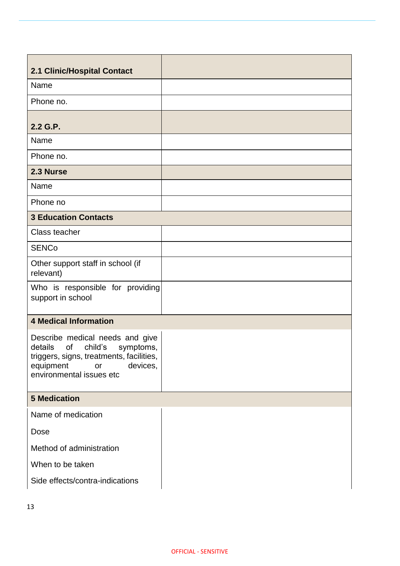| 2.1 Clinic/Hospital Contact                                                                                                                                                     |
|---------------------------------------------------------------------------------------------------------------------------------------------------------------------------------|
| Name                                                                                                                                                                            |
| Phone no.                                                                                                                                                                       |
|                                                                                                                                                                                 |
| 2.2 G.P.                                                                                                                                                                        |
| Name                                                                                                                                                                            |
| Phone no.                                                                                                                                                                       |
| 2.3 Nurse                                                                                                                                                                       |
| Name                                                                                                                                                                            |
| Phone no                                                                                                                                                                        |
| <b>3 Education Contacts</b>                                                                                                                                                     |
| Class teacher                                                                                                                                                                   |
| <b>SENCo</b>                                                                                                                                                                    |
| Other support staff in school (if<br>relevant)                                                                                                                                  |
| Who is responsible for providing<br>support in school                                                                                                                           |
| <b>4 Medical Information</b>                                                                                                                                                    |
| Describe medical needs and give<br>details<br>of<br>child's<br>symptoms,<br>triggers, signs, treatments, facilities,<br>devices,<br>equipment<br>or<br>environmental issues etc |
| <b>5 Medication</b>                                                                                                                                                             |
| Name of medication                                                                                                                                                              |
| Dose                                                                                                                                                                            |
| Method of administration                                                                                                                                                        |
| When to be taken                                                                                                                                                                |
| Side effects/contra-indications                                                                                                                                                 |
|                                                                                                                                                                                 |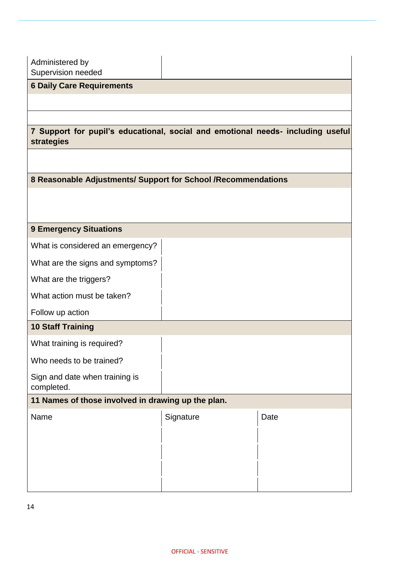Administered by Supervision needed

### **6 Daily Care Requirements**

#### **7 Support for pupil's educational, social and emotional needs- including useful strategies**

#### **8 Reasonable Adjustments/ Support for School /Recommendations**

#### **9 Emergency Situations**

| What are the signs and symptoms? |  |  |
|----------------------------------|--|--|

What is considered an emergency?

What are the triggers?

What action must be taken?

Follow up action

#### **10 Staff Training**

What training is required?

Who needs to be trained?

Sign and date when training is completed.

#### **11 Names of those involved in drawing up the plan.**

| Name | Signature | Date |
|------|-----------|------|
|      |           |      |
|      |           |      |
|      |           |      |
|      |           |      |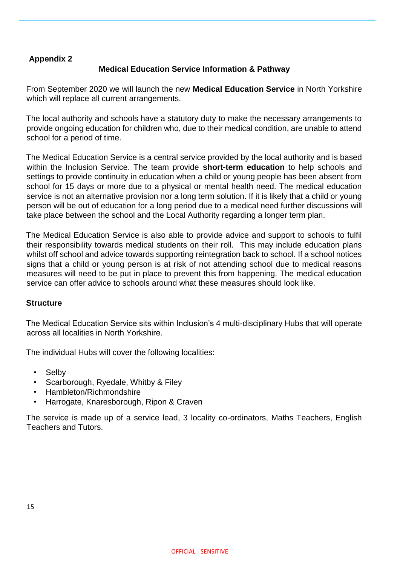#### **Appendix 2**

#### **Medical Education Service Information & Pathway**

From September 2020 we will launch the new **Medical Education Service** in North Yorkshire which will replace all current arrangements.

The local authority and schools have a statutory duty to make the necessary arrangements to provide ongoing education for children who, due to their medical condition, are unable to attend school for a period of time.

The Medical Education Service is a central service provided by the local authority and is based within the Inclusion Service. The team provide **short-term education** to help schools and settings to provide continuity in education when a child or young people has been absent from school for 15 days or more due to a physical or mental health need. The medical education service is not an alternative provision nor a long term solution. If it is likely that a child or young person will be out of education for a long period due to a medical need further discussions will take place between the school and the Local Authority regarding a longer term plan.

The Medical Education Service is also able to provide advice and support to schools to fulfil their responsibility towards medical students on their roll. This may include education plans whilst off school and advice towards supporting reintegration back to school. If a school notices signs that a child or young person is at risk of not attending school due to medical reasons measures will need to be put in place to prevent this from happening. The medical education service can offer advice to schools around what these measures should look like.

#### **Structure**

The Medical Education Service sits within Inclusion's 4 multi-disciplinary Hubs that will operate across all localities in North Yorkshire.

The individual Hubs will cover the following localities:

- Selby
- Scarborough, Ryedale, Whitby & Filey
- Hambleton/Richmondshire
- Harrogate, Knaresborough, Ripon & Craven

The service is made up of a service lead, 3 locality co-ordinators, Maths Teachers, English Teachers and Tutors.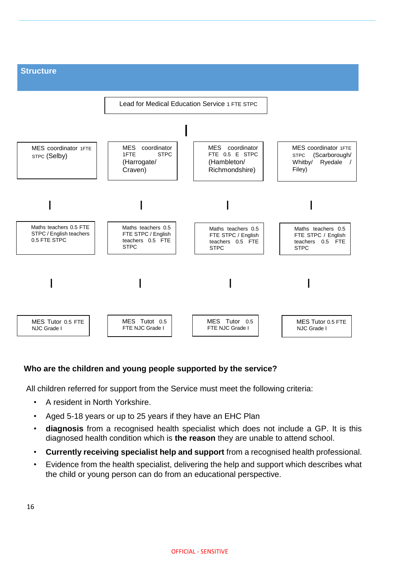

#### **Who are the children and young people supported by the service?**

All children referred for support from the Service must meet the following criteria:

- A resident in North Yorkshire.
- Aged 5-18 years or up to 25 years if they have an EHC Plan
- **diagnosis** from a recognised health specialist which does not include a GP. It is this diagnosed health condition which is **the reason** they are unable to attend school.
- **Currently receiving specialist help and support** from a recognised health professional.
- Evidence from the health specialist, delivering the help and support which describes what the child or young person can do from an educational perspective.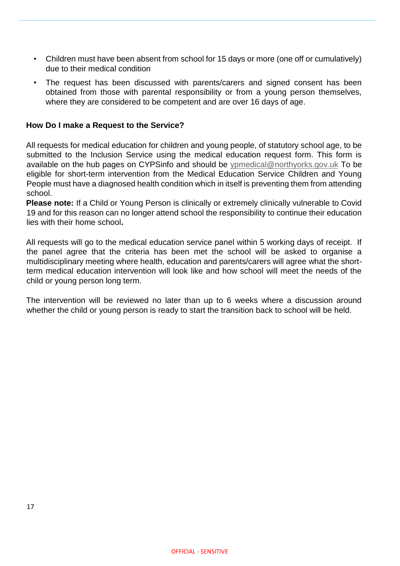- Children must have been absent from school for 15 days or more (one off or cumulatively) due to their medical condition
- The request has been discussed with parents/carers and signed consent has been obtained from those with parental responsibility or from a young person themselves, where they are considered to be competent and are over 16 days of age.

#### **How Do I make a Request to the Service?**

All requests for medical education for children and young people, of statutory school age, to be submitted to the Inclusion Service using the medical education request form. This form is available on the hub pages on CYPSinfo and should be ypmedical@northyorks.gov.uk To be eligible for short-term intervention from the Medical Education Service Children and Young People must have a diagnosed health condition which in itself is preventing them from attending school.

**Please note:** If a Child or Young Person is clinically or extremely clinically vulnerable to Covid 19 and for this reason can no longer attend school the responsibility to continue their education lies with their home school**.** 

All requests will go to the medical education service panel within 5 working days of receipt. If the panel agree that the criteria has been met the school will be asked to organise a multidisciplinary meeting where health, education and parents/carers will agree what the shortterm medical education intervention will look like and how school will meet the needs of the child or young person long term.

The intervention will be reviewed no later than up to 6 weeks where a discussion around whether the child or young person is ready to start the transition back to school will be held.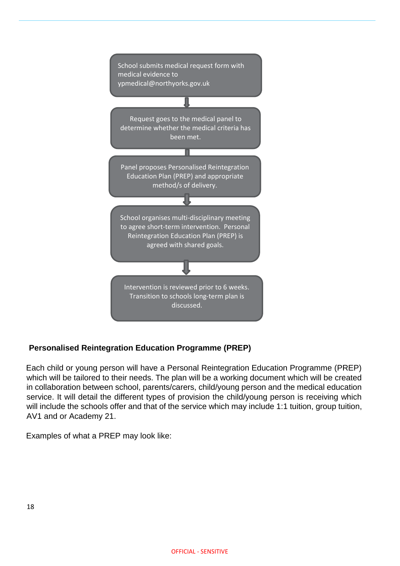

### **Personalised Reintegration Education Programme (PREP)**

Each child or young person will have a Personal Reintegration Education Programme (PREP) which will be tailored to their needs. The plan will be a working document which will be created in collaboration between school, parents/carers, child/young person and the medical education service. It will detail the different types of provision the child/young person is receiving which will include the schools offer and that of the service which may include 1:1 tuition, group tuition, AV1 and or Academy 21.

Examples of what a PREP may look like: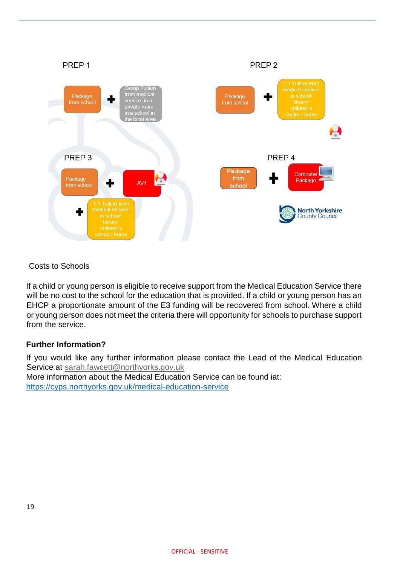

Costs to Schools

If a child or young person is eligible to receive support from the Medical Education Service there will be no cost to the school for the education that is provided. If a child or young person has an EHCP a proportionate amount of the E3 funding will be recovered from school. Where a child or young person does not meet the criteria there will opportunity for schools to purchase support from the service.

#### **Further Information?**

If you would like any further information please contact the Lead of the Medical Education Service at sarah.fawcett@northyorks.gov.uk

More information about the Medical Education Service can be found iat: <https://cyps.northyorks.gov.uk/medical-education-service>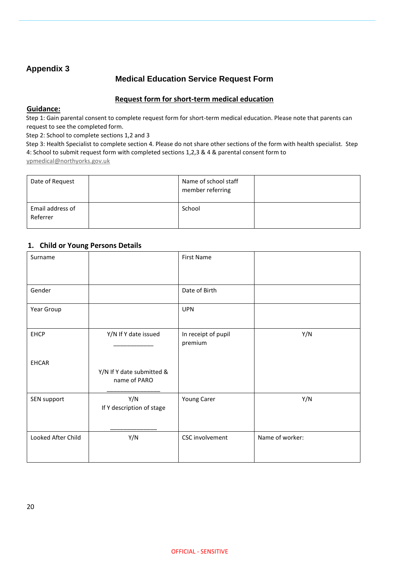#### **Appendix 3**

#### **Medical Education Service Request Form**

#### **Request form for short-term medical education**

#### **Guidance:**

Step 1: Gain parental consent to complete request form for short-term medical education. Please note that parents can request to see the completed form.

Step 2: School to complete sections 1,2 and 3

Step 3: Health Specialist to complete section 4. Please do not share other sections of the form with health specialist. Step 4: School to submit request form with completed sections 1,2,3 & 4 & parental consent form to ypmedical@northyorks.gov.uk

| Date of Request              | Name of school staff<br>member referring |  |
|------------------------------|------------------------------------------|--|
| Email address of<br>Referrer | School                                   |  |

#### **1. Child or Young Persons Details**

| Surname            |                                           | <b>First Name</b>              |                 |
|--------------------|-------------------------------------------|--------------------------------|-----------------|
| Gender             |                                           | Date of Birth                  |                 |
| Year Group         |                                           | <b>UPN</b>                     |                 |
| <b>EHCP</b>        | Y/N If Y date issued                      | In receipt of pupil<br>premium | Y/N             |
| <b>EHCAR</b>       | Y/N If Y date submitted &<br>name of PARO |                                |                 |
| SEN support        | Y/N<br>If Y description of stage          | Young Carer                    | Y/N             |
| Looked After Child | Y/N                                       | CSC involvement                | Name of worker: |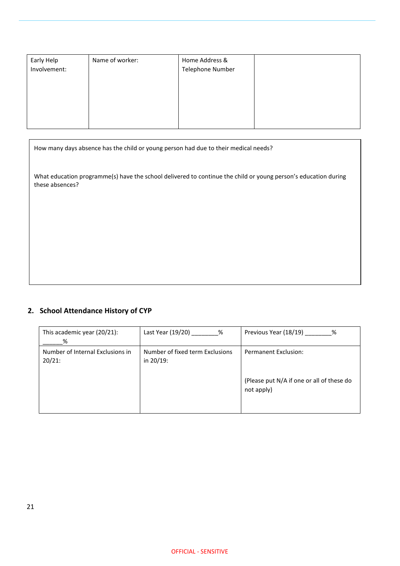| Early Help<br>Involvement: | Name of worker: | Home Address &<br>Telephone Number |  |
|----------------------------|-----------------|------------------------------------|--|
|                            |                 |                                    |  |

How many days absence has the child or young person had due to their medical needs?

What education programme(s) have the school delivered to continue the child or young person's education during these absences?

### **2. School Attendance History of CYP**

| This academic year (20/21):                   | Last Year (19/20) _____                      | Previous Year (18/19)                                                                  |
|-----------------------------------------------|----------------------------------------------|----------------------------------------------------------------------------------------|
| %                                             | $\%$                                         | %                                                                                      |
| Number of Internal Exclusions in<br>$20/21$ : | Number of fixed term Exclusions<br>in 20/19: | <b>Permanent Exclusion:</b><br>(Please put N/A if one or all of these do<br>not apply) |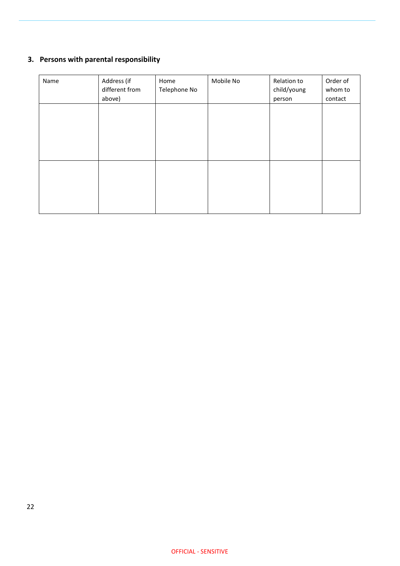## **3. Persons with parental responsibility**

| Name | Address (if<br>different from<br>above) | Home<br>Telephone No | Mobile No | Relation to<br>child/young<br>person | Order of<br>whom to<br>contact |
|------|-----------------------------------------|----------------------|-----------|--------------------------------------|--------------------------------|
|      |                                         |                      |           |                                      |                                |
|      |                                         |                      |           |                                      |                                |
|      |                                         |                      |           |                                      |                                |
|      |                                         |                      |           |                                      |                                |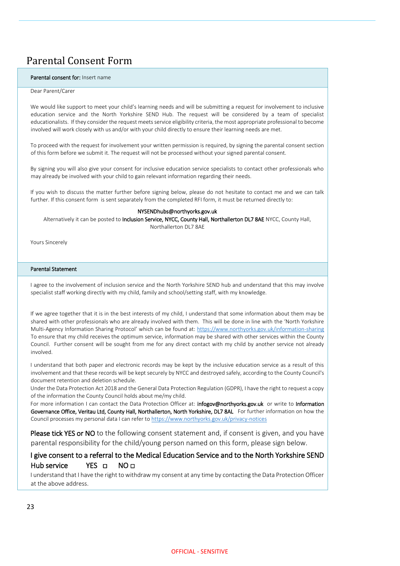## Parental Consent Form

#### Parental consent for: Insert name

#### Dear Parent/Carer

We would like support to meet your child's learning needs and will be submitting a request for involvement to inclusive education service and the North Yorkshire SEND Hub. The request will be considered by a team of specialist educationalists. If they consider the request meets service eligibility criteria, the most appropriate professional to become involved will work closely with us and/or with your child directly to ensure their learning needs are met.

To proceed with the request for involvement your written permission is required, by signing the parental consent section of this form before we submit it. The request will not be processed without your signed parental consent.

By signing you will also give your consent for inclusive education service specialists to contact other professionals who may already be involved with your child to gain relevant information regarding their needs.

If you wish to discuss the matter further before signing below, please do not hesitate to contact me and we can talk further. If this consent form is sent separately from the completed RFI form, it must be returned directly to:

#### NYSENDhubs@northyorks.gov.uk

Alternatively it can be posted to Inclusion Service, NYCC, County Hall, Northallerton DL7 8AE NYCC, County Hall, Northallerton DL7 8AE

Yours Sincerely

#### Parental Statement

I agree to the involvement of inclusion service and the North Yorkshire SEND hub and understand that this may involve specialist staff working directly with my child, family and school/setting staff, with my knowledge.

If we agree together that it is in the best interests of my child, I understand that some information about them may be shared with other professionals who are already involved with them. This will be done in line with the 'North Yorkshire Multi-Agency Information Sharing Protocol' which can be found at:<https://www.northyorks.gov.uk/information-sharing> To ensure that my child receives the optimum service, information may be shared with other services within the County Council. Further consent will be sought from me for any direct contact with my child by another service not already involved.

I understand that both paper and electronic records may be kept by the inclusive education service as a result of this involvement and that these records will be kept securely by NYCC and destroyed safely, according to the County Council's document retention and deletion schedule.

Under the Data Protection Act 2018 and the General Data Protection Regulation (GDPR), I have the right to request a copy of the information the County Council holds about me/my child.

For more information I can contact the Data Protection Officer at: *infogov@northyorks.gov.uk* or write to Information Governance Office, Veritau Ltd, County Hall, Northallerton, North Yorkshire, DL7 8AL For further information on how the Council processes my personal data I can refer t[o https://www.northyorks.gov.uk/privacy-notices](https://www.northyorks.gov.uk/privacy-notices)

**Please tick YES or NO** to the following consent statement and, if consent is given, and you have parental responsibility for the child/young person named on this form, please sign below.

#### I give consent to a referral to the Medical Education Service and to the North Yorkshire SEND Hub service YES □ NO □

I understand that I have the right to withdraw my consent at any time by contacting the Data Protection Officer at the above address.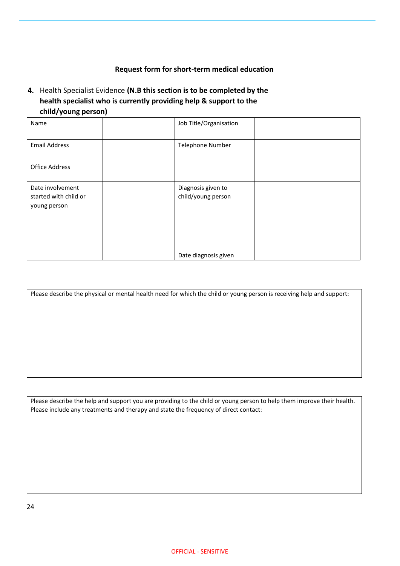#### **Request form for short-term medical education**

#### **4.** Health Specialist Evidence **(N.B this section is to be completed by the health specialist who is currently providing help & support to the child/young person)**

| Name                                                      | Job Title/Organisation                   |  |
|-----------------------------------------------------------|------------------------------------------|--|
| <b>Email Address</b>                                      | <b>Telephone Number</b>                  |  |
| <b>Office Address</b>                                     |                                          |  |
| Date involvement<br>started with child or<br>young person | Diagnosis given to<br>child/young person |  |
|                                                           | Date diagnosis given                     |  |

Please describe the physical or mental health need for which the child or young person is receiving help and support:

Please describe the help and support you are providing to the child or young person to help them improve their health. Please include any treatments and therapy and state the frequency of direct contact: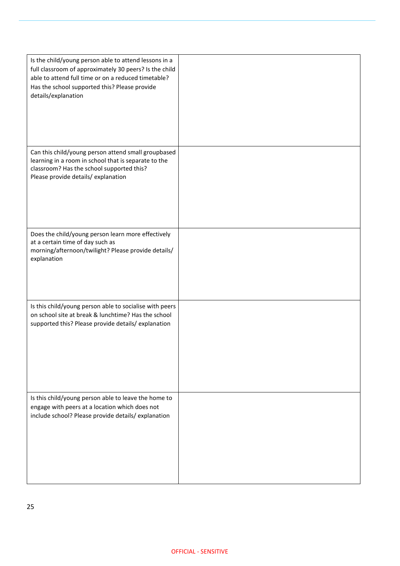| Is the child/young person able to attend lessons in a<br>full classroom of approximately 30 peers? Is the child<br>able to attend full time or on a reduced timetable?<br>Has the school supported this? Please provide<br>details/explanation |  |
|------------------------------------------------------------------------------------------------------------------------------------------------------------------------------------------------------------------------------------------------|--|
| Can this child/young person attend small groupbased<br>learning in a room in school that is separate to the<br>classroom? Has the school supported this?<br>Please provide details/explanation                                                 |  |
| Does the child/young person learn more effectively<br>at a certain time of day such as<br>morning/afternoon/twilight? Please provide details/<br>explanation                                                                                   |  |
| Is this child/young person able to socialise with peers<br>on school site at break & lunchtime? Has the school<br>supported this? Please provide details/explanation                                                                           |  |
| Is this child/young person able to leave the home to<br>engage with peers at a location which does not<br>include school? Please provide details/explanation                                                                                   |  |